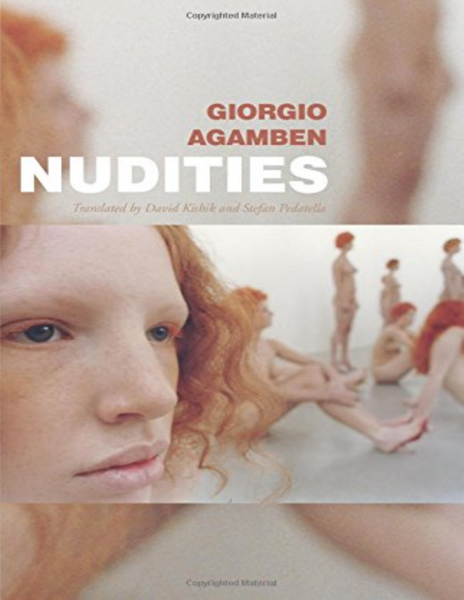Copyrighted Material

## **GIORGIO AGAMBEN** NUD er. **Contract** m.

Translated by David Kubik and Stefan Pedatella



Copyrighted Material